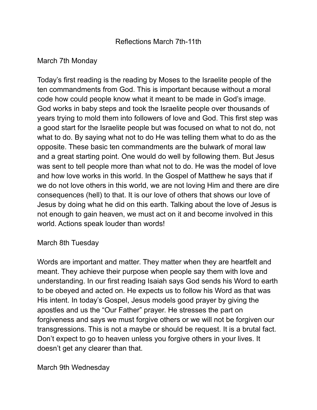# Reflections March 7th-11th

# March 7th Monday

Today's first reading is the reading by Moses to the Israelite people of the ten commandments from God. This is important because without a moral code how could people know what it meant to be made in God's image. God works in baby steps and took the Israelite people over thousands of years trying to mold them into followers of love and God. This first step was a good start for the Israelite people but was focused on what to not do, not what to do. By saying what not to do He was telling them what to do as the opposite. These basic ten commandments are the bulwark of moral law and a great starting point. One would do well by following them. But Jesus was sent to tell people more than what not to do. He was the model of love and how love works in this world. In the Gospel of Matthew he says that if we do not love others in this world, we are not loving Him and there are dire consequences (hell) to that. It is our love of others that shows our love of Jesus by doing what he did on this earth. Talking about the love of Jesus is not enough to gain heaven, we must act on it and become involved in this world. Actions speak louder than words!

### March 8th Tuesday

Words are important and matter. They matter when they are heartfelt and meant. They achieve their purpose when people say them with love and understanding. In our first reading Isaiah says God sends his Word to earth to be obeyed and acted on. He expects us to follow his Word as that was His intent. In today's Gospel, Jesus models good prayer by giving the apostles and us the "Our Father" prayer. He stresses the part on forgiveness and says we must forgive others or we will not be forgiven our transgressions. This is not a maybe or should be request. It is a brutal fact. Don't expect to go to heaven unless you forgive others in your lives. It doesn't get any clearer than that.

March 9th Wednesday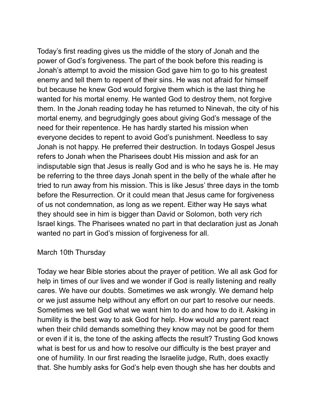Today's first reading gives us the middle of the story of Jonah and the power of God's forgiveness. The part of the book before this reading is Jonah's attempt to avoid the mission God gave him to go to his greatest enemy and tell them to repent of their sins. He was not afraid for himself but because he knew God would forgive them which is the last thing he wanted for his mortal enemy. He wanted God to destroy them, not forgive them. In the Jonah reading today he has returned to Ninevah, the city of his mortal enemy, and begrudgingly goes about giving God's message of the need for their repentence. He has hardly started his mission when everyone decides to repent to avoid God's punishment. Needless to say Jonah is not happy. He preferred their destruction. In todays Gospel Jesus refers to Jonah when the Pharisees doubt His mission and ask for an indisputable sign that Jesus is really God and is who he says he is. He may be referring to the three days Jonah spent in the belly of the whale after he tried to run away from his mission. This is like Jesus' three days in the tomb before the Resurrection. Or it could mean that Jesus came for forgiveness of us not condemnation, as long as we repent. Either way He says what they should see in him is bigger than David or Solomon, both very rich Israel kings. The Pharisees wnated no part in that declaration just as Jonah wanted no part in God's mission of forgiveness for all.

### March 10th Thursday

Today we hear Bible stories about the prayer of petition. We all ask God for help in times of our lives and we wonder if God is really listening and really cares. We have our doubts. Sometimes we ask wrongly. We demand help or we just assume help without any effort on our part to resolve our needs. Sometimes we tell God what we want him to do and how to do it. Asking in humility is the best way to ask God for help. How would any parent react when their child demands something they know may not be good for them or even if it is, the tone of the asking affects the result? Trusting God knows what is best for us and how to resolve our difficulty is the best prayer and one of humility. In our first reading the Israelite judge, Ruth, does exactly that. She humbly asks for God's help even though she has her doubts and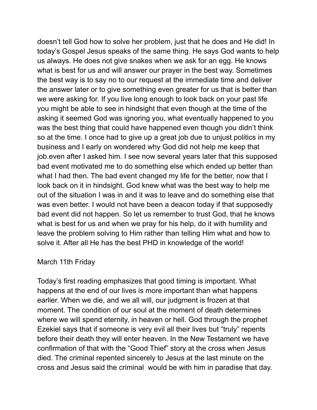doesn't tell God how to solve her problem, just that he does and He did! In today's Gospel Jesus speaks of the same thing. He says God wants to help us always. He does not give snakes when we ask for an egg. He knows what is best for us and will answer our prayer in the best way. Sometimes the best way is to say no to our request at the immediate time and deliver the answer later or to give something even greater for us that is better than we were asking for. If you live long enough to look back on your past life you might be able to see in hindsight that even though at the time of the asking it seemed God was ignoring you, what eventually happened to you was the best thing that could have happened even though you didn't think so at the time. I once had to give up a great job due to unjust politics in my business and I early on wondered why God did not help me keep that job.even after I asked him. I see now several years later that this supposed bad event motivated me to do something else which ended up better than what I had then. The bad event changed my life for the better, now that I look back on it in hindsight. God knew what was the best way to help me out of the situation I was in and it was to leave and do something else that was even better. I would not have been a deacon today if that supposedly bad event did not happen. So let us remember to trust God, that he knows what is best for us and when we pray for his help, do it with humility and leave the problem solving to Him rather than telling Him what and how to solve it. After all He has the best PHD in knowledge of the world!

### March 11th Friday

Today's first reading emphasizes that good timing is important. What happens at the end of our lives is more important than what happens earlier. When we die, and we all will, our judgment is frozen at that moment. The condition of our soul at the moment of death determines where we will spend eternity, in heaven or hell. God through the prophet Ezekiel says that if someone is very evil all their lives but "truly" repents before their death they will enter heaven. In the New Testament we have confirmation of that with the "Good Thief" story at the cross when Jesus died. The criminal repented sincerely to Jesus at the last minute on the cross and Jesus said the criminal would be with him in paradise that day.